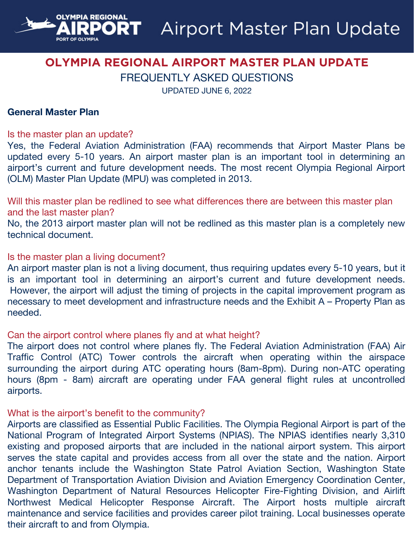

## **OLYMPIA REGIONAL AIRPORT MASTER PLAN UPDATE**

FREQUENTLY ASKED QUESTIONS

UPDATED JUNE 6, 2022

#### **General Master Plan**

#### Is the master plan an update?

Yes, the Federal Aviation Administration (FAA) recommends that Airport Master Plans be updated every 5-10 years. An airport master plan is an important tool in determining an airport's current and future development needs. The most recent Olympia Regional Airport (OLM) Master Plan Update (MPU) was completed in 2013.

Will this master plan be redlined to see what differences there are between this master plan and the last master plan?

No, the 2013 airport master plan will not be redlined as this master plan is a completely new technical document.

#### Is the master plan a living document?

An airport master plan is not a living document, thus requiring updates every 5-10 years, but it is an important tool in determining an airport's current and future development needs. However, the airport will adjust the timing of projects in the capital improvement program as necessary to meet development and infrastructure needs and the Exhibit A – Property Plan as needed.

#### Can the airport control where planes fly and at what height?

The airport does not control where planes fly. The Federal Aviation Administration (FAA) Air Traffic Control (ATC) Tower controls the aircraft when operating within the airspace surrounding the airport during ATC operating hours (8am-8pm). During non-ATC operating hours (8pm - 8am) aircraft are operating under FAA general flight rules at uncontrolled airports.

#### What is the airport's benefit to the community?

Airports are classified as Essential Public Facilities. The Olympia Regional Airport is part of the National Program of Integrated Airport Systems (NPIAS). The NPIAS identifies nearly 3,310 existing and proposed airports that are included in the national airport system. This airport serves the state capital and provides access from all over the state and the nation. Airport anchor tenants include the Washington State Patrol Aviation Section, Washington State Department of Transportation Aviation Division and Aviation Emergency Coordination Center, Washington Department of Natural Resources Helicopter Fire-Fighting Division, and Airlift Northwest Medical Helicopter Response Aircraft. The Airport hosts multiple aircraft maintenance and service facilities and provides career pilot training. Local businesses operate their aircraft to and from Olympia.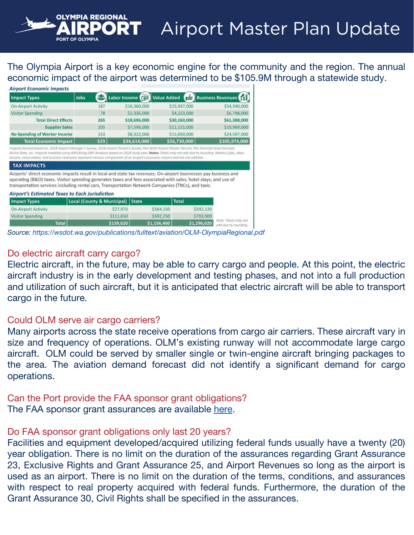The Olympia Airport is a key economic engine for the community and the region. The annual economic impact of the airport was determined to be \$105.9M through a statewide study.

| <b>Airport Economic Impacts</b>                                                                                                                                                                                                                                                                                                                                                                                                                    |      |                                    |              |                          |
|----------------------------------------------------------------------------------------------------------------------------------------------------------------------------------------------------------------------------------------------------------------------------------------------------------------------------------------------------------------------------------------------------------------------------------------------------|------|------------------------------------|--------------|--------------------------|
| <b>Impact Types</b>                                                                                                                                                                                                                                                                                                                                                                                                                                | Jobs | Labor Income <b>Co</b> Value Added |              | <b>Business Revenues</b> |
| <b>On-Airport Activity</b>                                                                                                                                                                                                                                                                                                                                                                                                                         | 187  | \$16,360,000                       | \$25,937,000 | \$54,590,000             |
| <b>Visitor Spending</b>                                                                                                                                                                                                                                                                                                                                                                                                                            | 78   | \$2,336,000                        | \$4,223,000  | \$6,798,000              |
| <b>Total Direct Effects</b>                                                                                                                                                                                                                                                                                                                                                                                                                        | 265  | \$18,696,000                       | \$30,160,000 | \$61,388,000             |
| <b>Supplier Sales</b>                                                                                                                                                                                                                                                                                                                                                                                                                              | 105  | \$7,596,000                        | \$11,521,000 | \$19,989,000             |
| <b>Re-Spending of Worker Income</b>                                                                                                                                                                                                                                                                                                                                                                                                                | 153  | \$8,322,000                        | \$15,050,000 | \$24,597,000             |
| <b>Total Economic Impact</b>                                                                                                                                                                                                                                                                                                                                                                                                                       | 523  | \$34,614,000                       | \$56,730,000 | \$105,974,000            |
| Impacts derived based on: 2018 Airport Manager's Survey, 2018 Airport Tenant's Survey, FAA 5010 Airport Master Record, FAA Terminal Area Forecast,<br>Airline Data, Inc. Impacts modeled using IMPLAN by EBP. Analyses based on 2018 study year. Notes: Totals may not add due to rounding. Metrics (jobs, labor<br>income, value added, and business revenues) represent various components of an airport's economic impact and are not additive. |      |                                    |              |                          |
| <b>TAX IMPACTS</b>                                                                                                                                                                                                                                                                                                                                                                                                                                 |      |                                    |              |                          |
| Airports' direct economic impacts result in local and state tax revenues. On-airport businesses pay business and                                                                                                                                                                                                                                                                                                                                   |      |                                    |              |                          |

**OLYMPIA REGIONAL** 

operating (B&O) taxes. Visitor spending generates taxes and fees associated with sales; hotel stays; and use of transportation services including rental cars, Transportation Network Companies (TNCs), and taxis.

| <b>Impact Types</b>        | Local (County & Municipal)   State |             | <b>Total</b> |                                              |
|----------------------------|------------------------------------|-------------|--------------|----------------------------------------------|
| <b>On-Airport Activity</b> | \$27,970                           | \$564,150   | \$592,120    |                                              |
| <b>Visitor Spending</b>    | \$111,650                          | \$592,250   | \$703,900    |                                              |
| <b>Total</b>               | \$139,620                          | \$1,156,400 | \$1,296,020  | Note: Totals may not<br>add due to rounding. |

*Source: <https://wsdot.wa.gov/publications/fulltext/aviation/OLM-OlympiaRegional.pdf>*

#### Do electric aircraft carry cargo?

Electric aircraft, in the future, may be able to carry cargo and people. At this point, the electric aircraft industry is in the early development and testing phases, and not into a full production and utilization of such aircraft, but it is anticipated that electric aircraft will be able to transport cargo in the future.

#### Could OLM serve air cargo carriers?

Many airports across the state receive operations from cargo air carriers. These aircraft vary in size and frequency of operations. OLM's existing runway will not accommodate large cargo aircraft. OLM could be served by smaller single or twin-engine aircraft bringing packages to the area. The aviation demand forecast did not identify a significant demand for cargo operations.

Can the Port provide the FAA sponsor grant obligations? The FAA sponsor grant assurances are available [here.](https://www.faa.gov/airports/aip/grant_assurances/media/airport-sponsor-assurances-aip-2020.pdf)

### Do FAA sponsor grant obligations only last 20 years?

Facilities and equipment developed/acquired utilizing federal funds usually have a twenty (20) year obligation. There is no limit on the duration of the assurances regarding Grant Assurance 23, Exclusive Rights and Grant Assurance 25, and Airport Revenues so long as the airport is used as an airport. There is no limit on the duration of the terms, conditions, and assurances with respect to real property acquired with federal funds. Furthermore, the duration of the Grant Assurance 30, Civil Rights shall be specified in the assurances.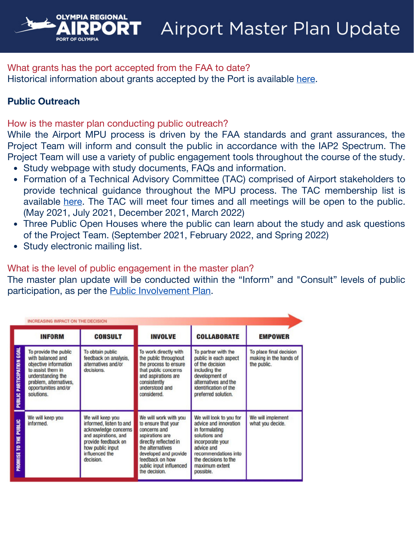What grants has the port accepted from the FAA to date?

Historical information about grants accepted by the Port is available [here](https://www.faa.gov/airports/aip/grant_histories/#history).

## **Public Outreach**

How is the master plan conducting public outreach?

**OLYMPIA REGIONAL** 

While the Airport MPU process is driven by the FAA standards and grant assurances, the Project Team will inform and consult the public in accordance with the IAP2 Spectrum. The Project Team will use a variety of public engagement tools throughout the course of the study.

- Study webpage with study documents, FAQs and information.
- Formation of a Technical Advisory Committee (TAC) comprised of Airport stakeholders to provide technical guidance throughout the MPU process. The TAC membership list is available [here](http://airport.portolympia.com/wp-content/uploads/sites/8/2021/05/Olympia-Airport-MPU-Technical-Advisory-Group-Members-5-20-2021.pdf). The TAC will meet four times and all meetings will be open to the public. (May 2021, July 2021, December 2021, March 2022)
- Three Public Open Houses where the public can learn about the study and ask questions of the Project Team. (September 2021, February 2022, and Spring 2022)
- Study electronic mailing list.

## What is the level of public engagement in the master plan?

The master plan update will be conducted within the "Inform" and "Consult" levels of public participation, as per the **Public [Involvement](http://airport.portolympia.com/wp-content/uploads/sites/8/2021/05/OLM-Airport-Master-Plan-Update-PIP_Mar-2022.pdf) Plan**.

|                                  | <b>INCREASING IMPACT ON THE DECISION</b>                                                                                                                                      |                                                                                                                                                                       |                                                                                                                                                                                                                      |                                                                                                                                                                                                      |                                                                  |
|----------------------------------|-------------------------------------------------------------------------------------------------------------------------------------------------------------------------------|-----------------------------------------------------------------------------------------------------------------------------------------------------------------------|----------------------------------------------------------------------------------------------------------------------------------------------------------------------------------------------------------------------|------------------------------------------------------------------------------------------------------------------------------------------------------------------------------------------------------|------------------------------------------------------------------|
|                                  | <b>INFORM</b>                                                                                                                                                                 | <b>CONSULT</b>                                                                                                                                                        | <b>INVOLVE</b>                                                                                                                                                                                                       | <b>COLLABORATE</b>                                                                                                                                                                                   | <b>EMPOWER</b>                                                   |
| <b>PUBLIC PARTICIPATION GOAL</b> | To provide the public<br>with balanced and<br>objective information<br>to assist them in<br>understanding the<br>problem, alternatives,<br>opportunities and/or<br>solutions. | To obtain public<br>feedback on analysis,<br>alternatives and/or<br>decisions.                                                                                        | To work directly with<br>the public throughout<br>the process to ensure<br>that public concerns<br>and aspirations are<br>consistently<br>understood and<br>considered.                                              | To partner with the<br>public in each aspect<br>of the decision<br>including the<br>development of<br>alternatives and the<br>identification of the<br>preferred solution.                           | To place final decision<br>making in the hands of<br>the public. |
| <b>PROMISE TO THE PUBLIC</b>     | We will keep you<br>informed.                                                                                                                                                 | We will keep you<br>informed, listen to and<br>acknowledge concerns<br>and aspirations, and<br>provide feedback on<br>how public input<br>influenced the<br>decision. | We will work with you<br>to ensure that your<br>concerns and<br>aspirations are<br>directly reflected in<br>the alternatives<br>developed and provide<br>feedback on how<br>public input influenced<br>the decision. | We will look to you for<br>advice and innovation<br>in formulating<br>solutions and<br>incorporate your<br>advice and<br>recommendations into<br>the decisions to the<br>maximum extent<br>possible. | We will implement<br>what you decide.                            |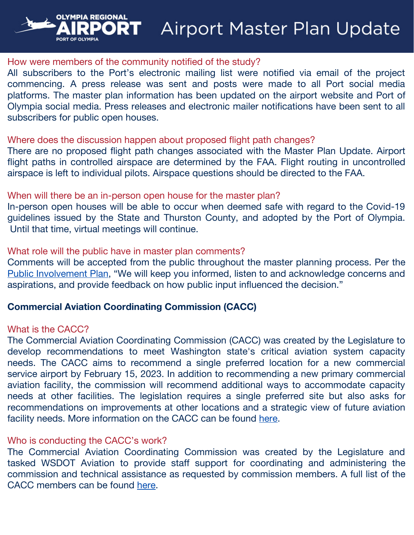#### How were members of the community notified of the study?

**OLYMPIA REGIONAL** 

All subscribers to the Port's electronic mailing list were notified via email of the project commencing. A press release was sent and posts were made to all Port social media platforms. The master plan information has been updated on the airport website and Port of Olympia social media. Press releases and electronic mailer notifications have been sent to all subscribers for public open houses.

#### Where does the discussion happen about proposed flight path changes?

There are no proposed flight path changes associated with the Master Plan Update. Airport flight paths in controlled airspace are determined by the FAA. Flight routing in uncontrolled airspace is left to individual pilots. Airspace questions should be directed to the FAA.

#### When will there be an in-person open house for the master plan?

In-person open houses will be able to occur when deemed safe with regard to the Covid-19 guidelines issued by the State and Thurston County, and adopted by the Port of Olympia. Until that time, virtual meetings will continue.

#### What role will the public have in master plan comments?

Comments will be accepted from the public throughout the master planning process. Per the Public [Involvement](http://airport.portolympia.com/wp-content/uploads/sites/8/2021/05/OLM-Airport-Master-Plan-Update-PIP_Mar-2022.pdf) Plan, "We will keep you informed, listen to and acknowledge concerns and aspirations, and provide feedback on how public input influenced the decision."

#### **Commercial Aviation Coordinating Commission (CACC)**

#### What is the CACC?

The Commercial Aviation Coordinating Commission (CACC) was created by the Legislature to develop recommendations to meet Washington state's critical aviation system capacity needs. The CACC aims to recommend a single preferred location for a new commercial service airport by February 15, 2023. In addition to recommending a new primary commercial aviation facility, the commission will recommend additional ways to accommodate capacity needs at other facilities. The legislation requires a single preferred site but also asks for recommendations on improvements at other locations and a strategic view of future aviation facility needs. More information on the CACC can be found [here.](https://wsdot.wa.gov/travel/aviation/commercial-aviation-coordinating-commission)

#### Who is conducting the CACC's work?

The Commercial Aviation Coordinating Commission was created by the Legislature and tasked WSDOT Aviation to provide staff support for coordinating and administering the commission and technical assistance as requested by commission members. A full list of the CACC members can be found [here](https://wsdot.wa.gov/sites/default/files/2022-01/CACC-members-1-6-2022.pdf).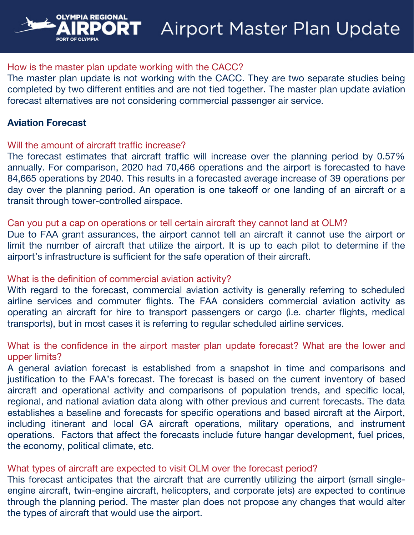#### How is the master plan update working with the CACC?

The master plan update is not working with the CACC. They are two separate studies being completed by two different entities and are not tied together. The master plan update aviation forecast alternatives are not considering commercial passenger air service.

#### **Aviation Forecast**

#### Will the amount of aircraft traffic increase?

**OLYMPIA REGIONAL** 

The forecast estimates that aircraft traffic will increase over the planning period by 0.57% annually. For comparison, 2020 had 70,466 operations and the airport is forecasted to have 84,665 operations by 2040. This results in a forecasted average increase of 39 operations per day over the planning period. An operation is one takeoff or one landing of an aircraft or a transit through tower-controlled airspace.

#### Can you put a cap on operations or tell certain aircraft they cannot land at OLM?

Due to FAA grant assurances, the airport cannot tell an aircraft it cannot use the airport or limit the number of aircraft that utilize the airport. It is up to each pilot to determine if the airport's infrastructure is sufficient for the safe operation of their aircraft.

#### What is the definition of commercial aviation activity?

With regard to the forecast, commercial aviation activity is generally referring to scheduled airline services and commuter flights. The FAA considers commercial aviation activity as operating an aircraft for hire to transport passengers or cargo (i.e. charter flights, medical transports), but in most cases it is referring to regular scheduled airline services.

#### What is the confidence in the airport master plan update forecast? What are the lower and upper limits?

A general aviation forecast is established from a snapshot in time and comparisons and justification to the FAA's forecast. The forecast is based on the current inventory of based aircraft and operational activity and comparisons of population trends, and specific local, regional, and national aviation data along with other previous and current forecasts. The data establishes a baseline and forecasts for specific operations and based aircraft at the Airport, including itinerant and local GA aircraft operations, military operations, and instrument operations. Factors that affect the forecasts include future hangar development, fuel prices, the economy, political climate, etc.

#### What types of aircraft are expected to visit OLM over the forecast period?

This forecast anticipates that the aircraft that are currently utilizing the airport (small singleengine aircraft, twin-engine aircraft, helicopters, and corporate jets) are expected to continue through the planning period. The master plan does not propose any changes that would alter the types of aircraft that would use the airport.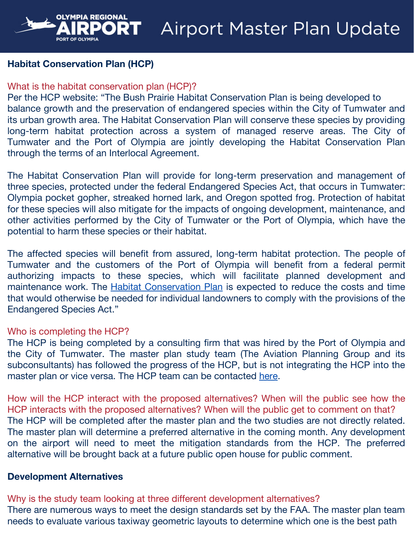## **Habitat Conservation Plan (HCP)**

**OLYMPIA REGIONAL** 

### What is the habitat conservation plan (HCP)?

Per the HCP website: "The Bush Prairie Habitat Conservation Plan is being developed to balance growth and the preservation of endangered species within the City of Tumwater and its urban growth area. The Habitat Conservation Plan will conserve these species by providing long-term habitat protection across a system of managed reserve areas. The City of Tumwater and the Port of Olympia are jointly developing the Habitat Conservation Plan through the terms of an Interlocal Agreement.

The Habitat Conservation Plan will provide for long-term preservation and management of three species, protected under the federal Endangered Species Act, that occurs in Tumwater: Olympia pocket gopher, streaked horned lark, and Oregon spotted frog. Protection of habitat for these species will also mitigate for the impacts of ongoing development, maintenance, and other activities performed by the City of Tumwater or the Port of Olympia, which have the potential to harm these species or their habitat.

The affected species will benefit from assured, long-term habitat protection. The people of Tumwater and the customers of the Port of Olympia will benefit from a federal permit authorizing impacts to these species, which will facilitate planned development and maintenance work. The **Habitat [Conservation](http://www.bushprairiehcp.org/) Plan** is expected to reduce the costs and time that would otherwise be needed for individual landowners to comply with the provisions of the Endangered Species Act."

#### Who is completing the HCP?

The HCP is being completed by a consulting firm that was hired by the Port of Olympia and the City of Tumwater. The master plan study team (The Aviation Planning Group and its subconsultants) has followed the progress of the HCP, but is not integrating the HCP into the master plan or vice versa. The HCP team can be contacted [here.](http://www.bushprairiehcp.org/contacts.html)

How will the HCP interact with the proposed alternatives? When will the public see how the HCP interacts with the proposed alternatives? When will the public get to comment on that? The HCP will be completed after the master plan and the two studies are not directly related. The master plan will determine a preferred alternative in the coming month. Any development on the airport will need to meet the mitigation standards from the HCP. The preferred alternative will be brought back at a future public open house for public comment.

#### **Development Alternatives**

Why is the study team looking at three different development alternatives? There are numerous ways to meet the design standards set by the FAA. The master plan team needs to evaluate various taxiway geometric layouts to determine which one is the best path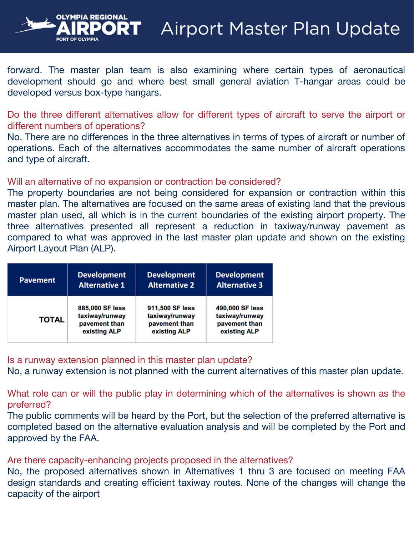forward. The master plan team is also examining where certain types of aeronautical development should go and where best small general aviation T-hangar areas could be developed versus box-type hangars.

Do the three different alternatives allow for different types of aircraft to serve the airport or different numbers of operations?

No. There are no differences in the three alternatives in terms of types of aircraft or number of operations. Each of the alternatives accommodates the same number of aircraft operations and type of aircraft.

#### Will an alternative of no expansion or contraction be considered?

**OLYMPIA REGIONAL** 

The property boundaries are not being considered for expansion or contraction within this master plan. The alternatives are focused on the same areas of existing land that the previous master plan used, all which is in the current boundaries of the existing airport property. The three alternatives presented all represent a reduction in taxiway/runway pavement as compared to what was approved in the last master plan update and shown on the existing Airport Layout Plan (ALP).

| <b>Pavement</b> | <b>Development</b>   | <b>Development</b>   | <b>Development</b>   |
|-----------------|----------------------|----------------------|----------------------|
|                 | <b>Alternative 1</b> | <b>Alternative 2</b> | <b>Alternative 3</b> |
| <b>TOTAL</b>    | 885,000 SF less      | 911,500 SF less      | 490,000 SF less      |
|                 | taxiway/runway       | taxiway/runway       | taxiway/runway       |
|                 | pavement than        | pavement than        | pavement than        |
|                 | existing ALP         | existing ALP         | existing ALP         |

### Is a runway extension planned in this master plan update?

No, a runway extension is not planned with the current alternatives of this master plan update.

What role can or will the public play in determining which of the alternatives is shown as the preferred?

The public comments will be heard by the Port, but the selection of the preferred alternative is completed based on the alternative evaluation analysis and will be completed by the Port and approved by the FAA.

#### Are there capacity-enhancing projects proposed in the alternatives?

No, the proposed alternatives shown in Alternatives 1 thru 3 are focused on meeting FAA design standards and creating efficient taxiway routes. None of the changes will change the capacity of the airport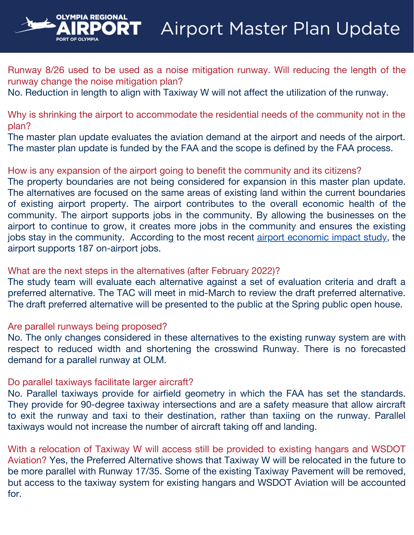Runway 8/26 used to be used as a noise mitigation runway. Will reducing the length of the runway change the noise mitigation plan?

No. Reduction in length to align with Taxiway W will not affect the utilization of the runway.

Why is shrinking the airport to accommodate the residential needs of the community not in the plan?

The master plan update evaluates the aviation demand at the airport and needs of the airport. The master plan update is funded by the FAA and the scope is defined by the FAA process.

## How is any expansion of the airport going to benefit the community and its citizens?

The property boundaries are not being considered for expansion in this master plan update. The alternatives are focused on the same areas of existing land within the current boundaries of existing airport property. The airport contributes to the overall economic health of the community. The airport supports jobs in the community. By allowing the businesses on the airport to continue to grow, it creates more jobs in the community and ensures the existing jobs stay in the community. According to the most recent airport [economic](https://wsdot.wa.gov/publications/fulltext/aviation/OLM-OlympiaRegional.pdf) impact study, the airport supports 187 on-airport jobs.

## What are the next steps in the alternatives (after February 2022)?

The study team will evaluate each alternative against a set of evaluation criteria and draft a preferred alternative. The TAC will meet in mid-March to review the draft preferred alternative. The draft preferred alternative will be presented to the public at the Spring public open house.

### Are parallel runways being proposed?

**OLYMPIA REGIONAL** 

No. The only changes considered in these alternatives to the existing runway system are with respect to reduced width and shortening the crosswind Runway. There is no forecasted demand for a parallel runway at OLM.

## Do parallel taxiways facilitate larger aircraft?

No. Parallel taxiways provide for airfield geometry in which the FAA has set the standards. They provide for 90-degree taxiway intersections and are a safety measure that allow aircraft to exit the runway and taxi to their destination, rather than taxiing on the runway. Parallel taxiways would not increase the number of aircraft taking off and landing.

With a relocation of Taxiway W will access still be provided to existing hangars and WSDOT Aviation? Yes, the Preferred Alternative shows that Taxiway W will be relocated in the future to be more parallel with Runway 17/35. Some of the existing Taxiway Pavement will be removed, but access to the taxiway system for existing hangars and WSDOT Aviation will be accounted for.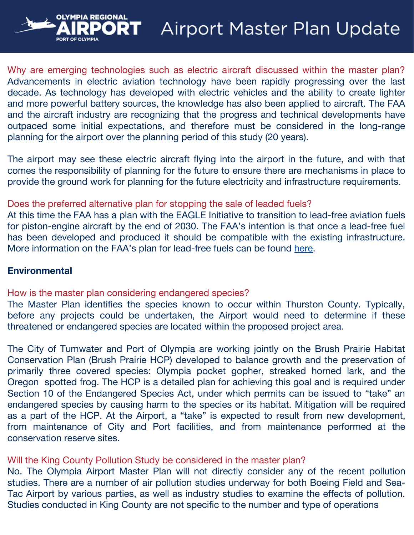Why are emerging technologies such as electric aircraft discussed within the master plan? Advancements in electric aviation technology have been rapidly progressing over the last decade. As technology has developed with electric vehicles and the ability to create lighter and more powerful battery sources, the knowledge has also been applied to aircraft. The FAA and the aircraft industry are recognizing that the progress and technical developments have outpaced some initial expectations, and therefore must be considered in the long-range planning for the airport over the planning period of this study (20 years).

The airport may see these electric aircraft flying into the airport in the future, and with that comes the responsibility of planning for the future to ensure there are mechanisms in place to provide the ground work for planning for the future electricity and infrastructure requirements.

#### Does the preferred alternative plan for stopping the sale of leaded fuels?

At this time the FAA has a plan with the EAGLE Initiative to transition to lead-free aviation fuels for piston-engine aircraft by the end of 2030. The FAA's intention is that once a lead-free fuel has been developed and produced it should be compatible with the existing infrastructure. More information on the FAA's plan for lead-free fuels can be found [her](https://www.faa.gov/about/initiatives/avgas)e.

#### **Environmental**

### How is the master plan considering endangered species?

**OLYMPIA REGIONAL** 

The Master Plan identifies the species known to occur within Thurston County. Typically, before any projects could be undertaken, the Airport would need to determine if these threatened or endangered species are located within the proposed project area.

The City of Tumwater and Port of Olympia are working jointly on the Brush Prairie Habitat Conservation Plan (Brush Prairie HCP) developed to balance growth and the preservation of primarily three covered species: Olympia pocket gopher, streaked horned lark, and the Oregon spotted frog. The HCP is a detailed plan for achieving this goal and is required under Section 10 of the Endangered Species Act, under which permits can be issued to "take" an endangered species by causing harm to the species or its habitat. Mitigation will be required as a part of the HCP. At the Airport, a "take" is expected to result from new development, from maintenance of City and Port facilities, and from maintenance performed at the conservation reserve sites.

## Will the King County Pollution Study be considered in the master plan?

No. The Olympia Airport Master Plan will not directly consider any of the recent pollution studies. There are a number of air pollution studies underway for both Boeing Field and Sea-Tac Airport by various parties, as well as industry studies to examine the effects of pollution. Studies conducted in King County are not specific to the number and type of operations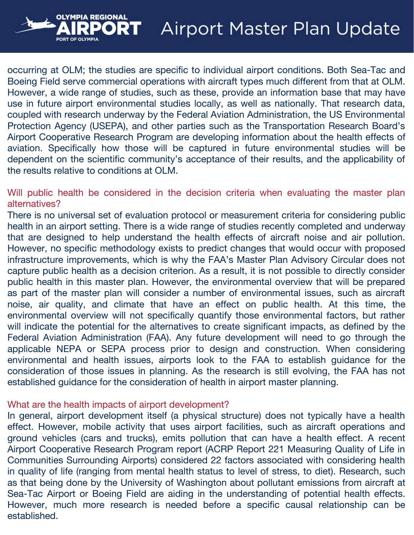occurring at OLM; the studies are specific to individual airport conditions. Both Sea-Tac and Boeing Field serve commercial operations with aircraft types much different from that at OLM. However, a wide range of studies, such as these, provide an information base that may have use in future airport environmental studies locally, as well as nationally. That research data, coupled with research underway by the Federal Aviation Administration, the US Environmental Protection Agency (USEPA), and other parties such as the Transportation Research Board's Airport Cooperative Research Program are developing information about the health effects of aviation. Specifically how those will be captured in future environmental studies will be dependent on the scientific community's acceptance of their results, and the applicability of the results relative to conditions at OLM.

Will public health be considered in the decision criteria when evaluating the master plan alternatives?

There is no universal set of evaluation protocol or measurement criteria for considering public health in an airport setting. There is a wide range of studies recently completed and underway that are designed to help understand the health effects of aircraft noise and air pollution. However, no specific methodology exists to predict changes that would occur with proposed infrastructure improvements, which is why the FAA's Master Plan Advisory Circular does not capture public health as a decision criterion. As a result, it is not possible to directly consider public health in this master plan. However, the environmental overview that will be prepared as part of the master plan will consider a number of environmental issues, such as aircraft noise, air quality, and climate that have an effect on public health. At this time, the environmental overview will not specifically quantify those environmental factors, but rather will indicate the potential for the alternatives to create significant impacts, as defined by the Federal Aviation Administration (FAA). Any future development will need to go through the applicable NEPA or SEPA process prior to design and construction. When considering environmental and health issues, airports look to the FAA to establish guidance for the consideration of those issues in planning. As the research is still evolving, the FAA has not established guidance for the consideration of health in airport master planning.

#### What are the health impacts of airport development?

**OLYMPIA REGIONAL** 

**PORT OF OLYMPIA** 

PORT

In general, airport development itself (a physical structure) does not typically have a health effect. However, mobile activity that uses airport facilities, such as aircraft operations and ground vehicles (cars and trucks), emits pollution that can have a health effect. A recent Airport Cooperative Research Program report (ACRP Report 221 Measuring Quality of Life in Communities Surrounding Airports) considered 22 factors associated with considering health in quality of life (ranging from mental health status to level of stress, to diet). Research, such as that being done by the University of Washington about pollutant emissions from aircraft at Sea-Tac Airport or Boeing Field are aiding in the understanding of potential health effects. However, much more research is needed before a specific causal relationship can be established.